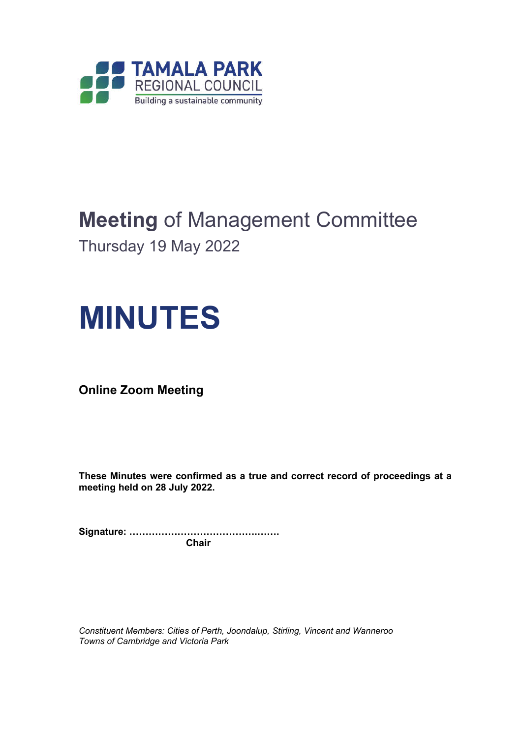

# **Meeting** of Management Committee

Thursday 19 May 2022

# **MINUTES**

**Online Zoom Meeting**

**These Minutes were confirmed as a true and correct record of proceedings at a meeting held on 28 July 2022.**

**Signature: ………………………………….……. Chair**

*Constituent Members: Cities of Perth, Joondalup, Stirling, Vincent and Wanneroo Towns of Cambridge and Victoria Park*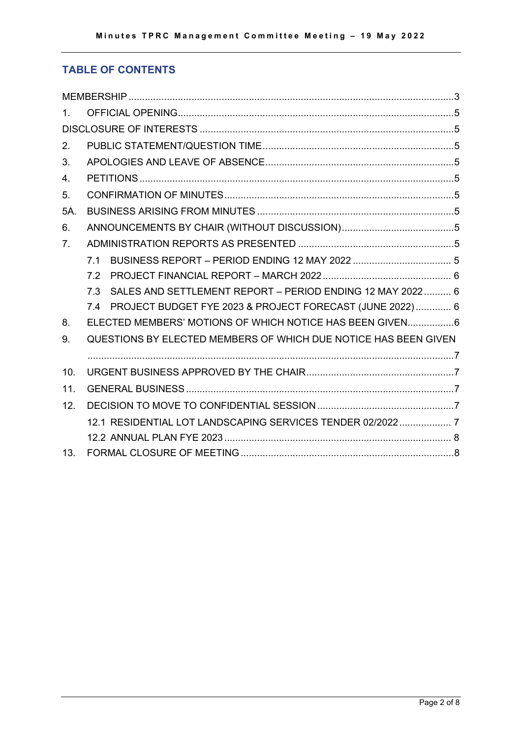# **TABLE OF CONTENTS**

| $1_{-}$        |                                                                 |                                                              |  |  |  |  |
|----------------|-----------------------------------------------------------------|--------------------------------------------------------------|--|--|--|--|
|                |                                                                 |                                                              |  |  |  |  |
| 2.             |                                                                 |                                                              |  |  |  |  |
| 3.             |                                                                 |                                                              |  |  |  |  |
| 4.             |                                                                 |                                                              |  |  |  |  |
| 5 <sub>1</sub> |                                                                 |                                                              |  |  |  |  |
| 5A.            |                                                                 |                                                              |  |  |  |  |
| 6.             |                                                                 |                                                              |  |  |  |  |
| 7.             |                                                                 |                                                              |  |  |  |  |
|                | 7.1                                                             |                                                              |  |  |  |  |
|                | 72                                                              |                                                              |  |  |  |  |
|                | <b>7.3</b>                                                      | SALES AND SETTLEMENT REPORT - PERIOD ENDING 12 MAY 2022 6    |  |  |  |  |
|                |                                                                 | 7.4 PROJECT BUDGET FYE 2023 & PROJECT FORECAST (JUNE 2022) 6 |  |  |  |  |
| 8.             | ELECTED MEMBERS' MOTIONS OF WHICH NOTICE HAS BEEN GIVEN6        |                                                              |  |  |  |  |
| 9.             | QUESTIONS BY ELECTED MEMBERS OF WHICH DUE NOTICE HAS BEEN GIVEN |                                                              |  |  |  |  |
|                |                                                                 |                                                              |  |  |  |  |
| 10.            |                                                                 |                                                              |  |  |  |  |
| 11.            |                                                                 |                                                              |  |  |  |  |
| 12.            |                                                                 |                                                              |  |  |  |  |
|                | 12.1 RESIDENTIAL LOT LANDSCAPING SERVICES TENDER 02/2022 7      |                                                              |  |  |  |  |
|                |                                                                 |                                                              |  |  |  |  |
| 13.            |                                                                 |                                                              |  |  |  |  |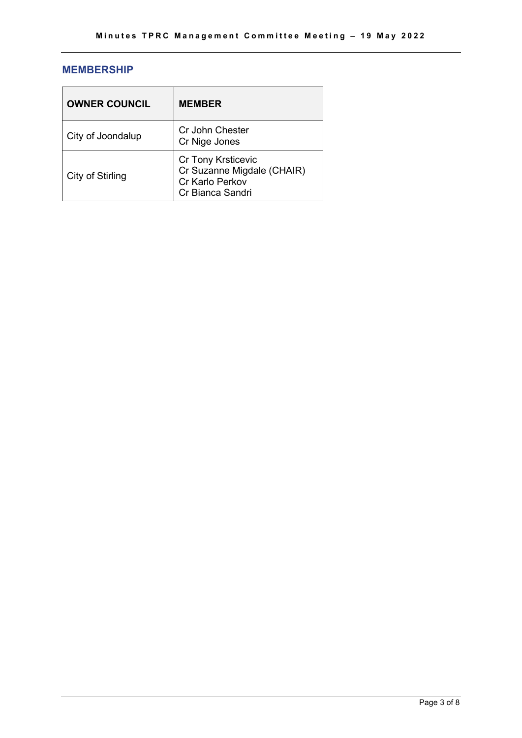# **MEMBERSHIP**

| <b>OWNER COUNCIL</b> | <b>MEMBER</b>                                                                                  |
|----------------------|------------------------------------------------------------------------------------------------|
| City of Joondalup    | Cr John Chester<br>Cr Nige Jones                                                               |
| City of Stirling     | <b>Cr Tony Krsticevic</b><br>Cr Suzanne Migdale (CHAIR)<br>Cr Karlo Perkov<br>Cr Bianca Sandri |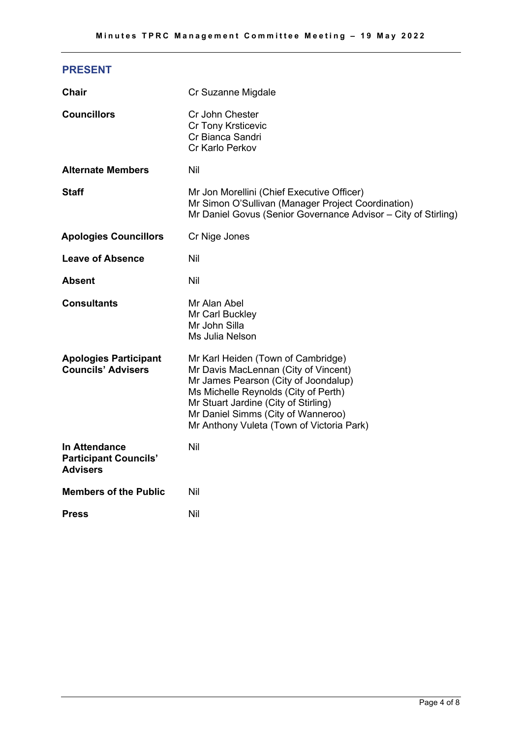# **PRESENT**

| <b>Chair</b>                                                            | Cr Suzanne Migdale                                                                                                                                                                                                                                                                    |
|-------------------------------------------------------------------------|---------------------------------------------------------------------------------------------------------------------------------------------------------------------------------------------------------------------------------------------------------------------------------------|
| <b>Councillors</b>                                                      | Cr John Chester<br><b>Cr Tony Krsticevic</b><br>Cr Bianca Sandri<br>Cr Karlo Perkov                                                                                                                                                                                                   |
| <b>Alternate Members</b>                                                | Nil                                                                                                                                                                                                                                                                                   |
| <b>Staff</b>                                                            | Mr Jon Morellini (Chief Executive Officer)<br>Mr Simon O'Sullivan (Manager Project Coordination)<br>Mr Daniel Govus (Senior Governance Advisor - City of Stirling)                                                                                                                    |
| <b>Apologies Councillors</b>                                            | Cr Nige Jones                                                                                                                                                                                                                                                                         |
| <b>Leave of Absence</b>                                                 | Nil                                                                                                                                                                                                                                                                                   |
| Absent                                                                  | Nil                                                                                                                                                                                                                                                                                   |
| <b>Consultants</b>                                                      | Mr Alan Abel<br>Mr Carl Buckley<br>Mr John Silla<br>Ms Julia Nelson                                                                                                                                                                                                                   |
| <b>Apologies Participant</b><br><b>Councils' Advisers</b>               | Mr Karl Heiden (Town of Cambridge)<br>Mr Davis MacLennan (City of Vincent)<br>Mr James Pearson (City of Joondalup)<br>Ms Michelle Reynolds (City of Perth)<br>Mr Stuart Jardine (City of Stirling)<br>Mr Daniel Simms (City of Wanneroo)<br>Mr Anthony Vuleta (Town of Victoria Park) |
| <b>In Attendance</b><br><b>Participant Councils'</b><br><b>Advisers</b> | Nil                                                                                                                                                                                                                                                                                   |
| <b>Members of the Public</b>                                            | Nil                                                                                                                                                                                                                                                                                   |
| <b>Press</b>                                                            | Nil                                                                                                                                                                                                                                                                                   |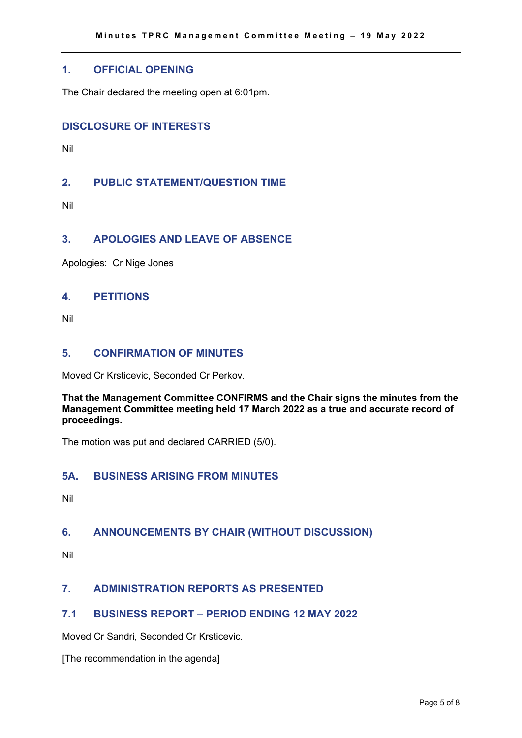## **1. OFFICIAL OPENING**

The Chair declared the meeting open at 6:01pm.

# **DISCLOSURE OF INTERESTS**

Nil

# **2. PUBLIC STATEMENT/QUESTION TIME**

Nil

# **3. APOLOGIES AND LEAVE OF ABSENCE**

Apologies: Cr Nige Jones

#### **4. PETITIONS**

Nil

# **5. CONFIRMATION OF MINUTES**

Moved Cr Krsticevic, Seconded Cr Perkov.

#### **That the Management Committee CONFIRMS and the Chair signs the minutes from the Management Committee meeting held 17 March 2022 as a true and accurate record of proceedings.**

The motion was put and declared CARRIED (5/0).

# **5A. BUSINESS ARISING FROM MINUTES**

Nil

# **6. ANNOUNCEMENTS BY CHAIR (WITHOUT DISCUSSION)**

Nil

# **7. ADMINISTRATION REPORTS AS PRESENTED**

# **7.1 BUSINESS REPORT – PERIOD ENDING 12 MAY 2022**

Moved Cr Sandri, Seconded Cr Krsticevic.

[The recommendation in the agenda]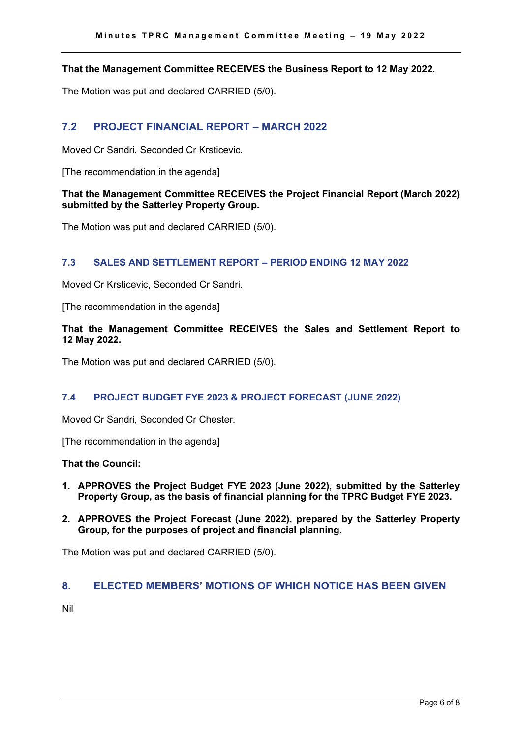#### **That the Management Committee RECEIVES the Business Report to 12 May 2022.**

The Motion was put and declared CARRIED (5/0).

#### **7.2 PROJECT FINANCIAL REPORT – MARCH 2022**

Moved Cr Sandri, Seconded Cr Krsticevic.

[The recommendation in the agenda]

#### **That the Management Committee RECEIVES the Project Financial Report (March 2022) submitted by the Satterley Property Group.**

The Motion was put and declared CARRIED (5/0).

#### **7.3 SALES AND SETTLEMENT REPORT – PERIOD ENDING 12 MAY 2022**

Moved Cr Krsticevic, Seconded Cr Sandri.

[The recommendation in the agenda]

#### **That the Management Committee RECEIVES the Sales and Settlement Report to 12 May 2022.**

The Motion was put and declared CARRIED (5/0).

#### **7.4 PROJECT BUDGET FYE 2023 & PROJECT FORECAST (JUNE 2022)**

Moved Cr Sandri, Seconded Cr Chester.

[The recommendation in the agenda]

**That the Council:**

- **1. APPROVES the Project Budget FYE 2023 (June 2022), submitted by the Satterley Property Group, as the basis of financial planning for the TPRC Budget FYE 2023.**
- **2. APPROVES the Project Forecast (June 2022), prepared by the Satterley Property Group, for the purposes of project and financial planning.**

The Motion was put and declared CARRIED (5/0).

## **8. ELECTED MEMBERS' MOTIONS OF WHICH NOTICE HAS BEEN GIVEN**

Nil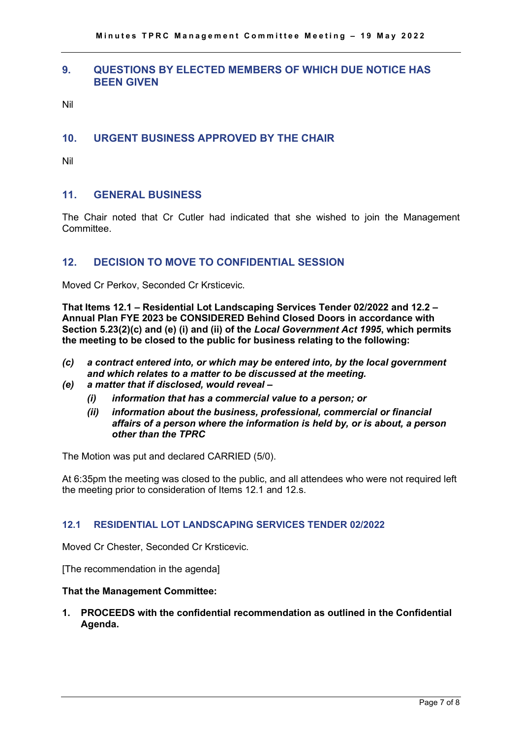# **9. QUESTIONS BY ELECTED MEMBERS OF WHICH DUE NOTICE HAS BEEN GIVEN**

Nil

# **10. URGENT BUSINESS APPROVED BY THE CHAIR**

Nil

# **11. GENERAL BUSINESS**

The Chair noted that Cr Cutler had indicated that she wished to join the Management **Committee.** 

# **12. DECISION TO MOVE TO CONFIDENTIAL SESSION**

Moved Cr Perkov, Seconded Cr Krsticevic.

**That Items 12.1 – Residential Lot Landscaping Services Tender 02/2022 and 12.2 – Annual Plan FYE 2023 be CONSIDERED Behind Closed Doors in accordance with Section 5.23(2)(c) and (e) (i) and (ii) of the** *Local Government Act 1995***, which permits the meeting to be closed to the public for business relating to the following:**

- *(c) a contract entered into, or which may be entered into, by the local government and which relates to a matter to be discussed at the meeting.*
- *(e) a matter that if disclosed, would reveal –*
	- *(i) information that has a commercial value to a person; or*
	- *(ii) information about the business, professional, commercial or financial affairs of a person where the information is held by, or is about, a person other than the TPRC*

The Motion was put and declared CARRIED (5/0).

At 6:35pm the meeting was closed to the public, and all attendees who were not required left the meeting prior to consideration of Items 12.1 and 12.s.

#### **12.1 RESIDENTIAL LOT LANDSCAPING SERVICES TENDER 02/2022**

Moved Cr Chester, Seconded Cr Krsticevic.

[The recommendation in the agenda]

#### **That the Management Committee:**

**1. PROCEEDS with the confidential recommendation as outlined in the Confidential Agenda.**